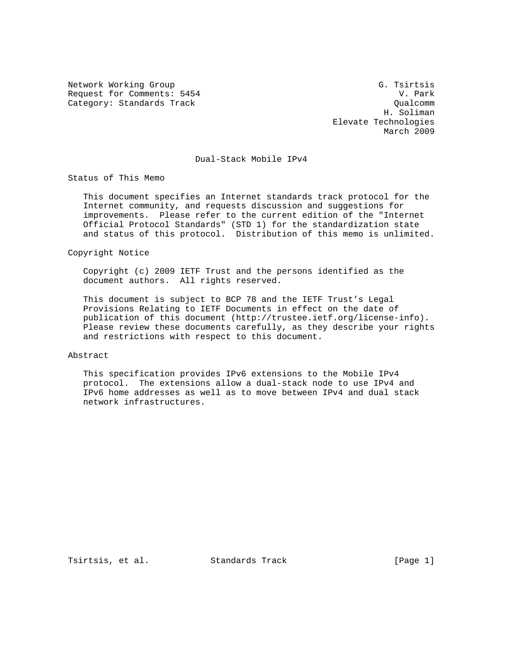Network Working Group G. The Group G. Tsirtsis Request for Comments: 5454 V. Park<br>Category: Standards Track Category: Standards Track Category: Standards Track

 H. Soliman Elevate Technologies March 2009

# Dual-Stack Mobile IPv4

Status of This Memo

 This document specifies an Internet standards track protocol for the Internet community, and requests discussion and suggestions for improvements. Please refer to the current edition of the "Internet Official Protocol Standards" (STD 1) for the standardization state and status of this protocol. Distribution of this memo is unlimited.

Copyright Notice

 Copyright (c) 2009 IETF Trust and the persons identified as the document authors. All rights reserved.

 This document is subject to BCP 78 and the IETF Trust's Legal Provisions Relating to IETF Documents in effect on the date of publication of this document (http://trustee.ietf.org/license-info). Please review these documents carefully, as they describe your rights and restrictions with respect to this document.

#### Abstract

 This specification provides IPv6 extensions to the Mobile IPv4 protocol. The extensions allow a dual-stack node to use IPv4 and IPv6 home addresses as well as to move between IPv4 and dual stack network infrastructures.

Tsirtsis, et al. Standards Track [Page 1]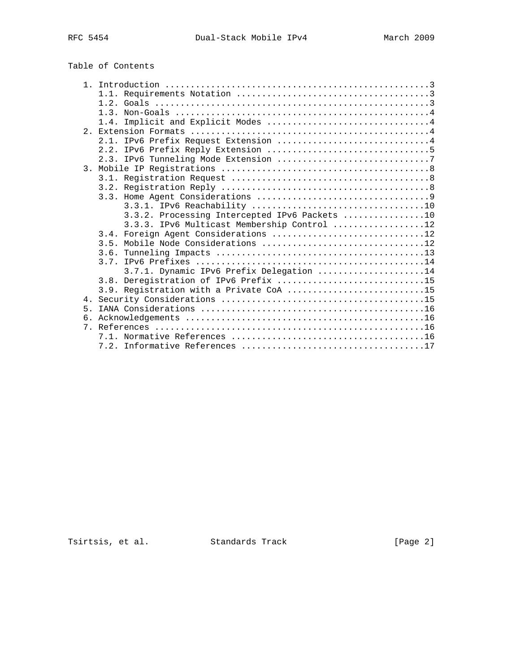# Table of Contents

| Implicit and Explicit Modes 4<br>1.4.         |  |
|-----------------------------------------------|--|
|                                               |  |
| 2.1. IPv6 Prefix Request Extension 4          |  |
|                                               |  |
|                                               |  |
|                                               |  |
|                                               |  |
|                                               |  |
|                                               |  |
|                                               |  |
| 3.3.2. Processing Intercepted IPv6 Packets 10 |  |
| 3.3.3. IPv6 Multicast Membership Control 12   |  |
| 3.4. Foreign Agent Considerations 12          |  |
|                                               |  |
| 3.6.                                          |  |
|                                               |  |
| 3.7.1. Dynamic IPv6 Prefix Delegation 14      |  |
| 3.8. Deregistration of IPv6 Prefix 15         |  |
| 3.9. Registration with a Private CoA 15       |  |
| 4 <sub>1</sub>                                |  |
| $5 -$                                         |  |
| რ.                                            |  |
|                                               |  |
|                                               |  |
|                                               |  |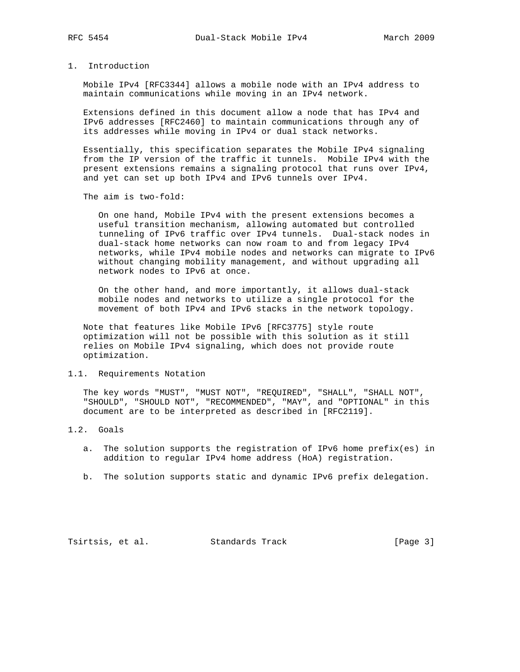# 1. Introduction

 Mobile IPv4 [RFC3344] allows a mobile node with an IPv4 address to maintain communications while moving in an IPv4 network.

 Extensions defined in this document allow a node that has IPv4 and IPv6 addresses [RFC2460] to maintain communications through any of its addresses while moving in IPv4 or dual stack networks.

 Essentially, this specification separates the Mobile IPv4 signaling from the IP version of the traffic it tunnels. Mobile IPv4 with the present extensions remains a signaling protocol that runs over IPv4, and yet can set up both IPv4 and IPv6 tunnels over IPv4.

The aim is two-fold:

 On one hand, Mobile IPv4 with the present extensions becomes a useful transition mechanism, allowing automated but controlled tunneling of IPv6 traffic over IPv4 tunnels. Dual-stack nodes in dual-stack home networks can now roam to and from legacy IPv4 networks, while IPv4 mobile nodes and networks can migrate to IPv6 without changing mobility management, and without upgrading all network nodes to IPv6 at once.

 On the other hand, and more importantly, it allows dual-stack mobile nodes and networks to utilize a single protocol for the movement of both IPv4 and IPv6 stacks in the network topology.

 Note that features like Mobile IPv6 [RFC3775] style route optimization will not be possible with this solution as it still relies on Mobile IPv4 signaling, which does not provide route optimization.

### 1.1. Requirements Notation

 The key words "MUST", "MUST NOT", "REQUIRED", "SHALL", "SHALL NOT", "SHOULD", "SHOULD NOT", "RECOMMENDED", "MAY", and "OPTIONAL" in this document are to be interpreted as described in [RFC2119].

#### 1.2. Goals

- a. The solution supports the registration of IPv6 home prefix(es) in addition to regular IPv4 home address (HoA) registration.
- b. The solution supports static and dynamic IPv6 prefix delegation.

Tsirtsis, et al. Standards Track [Page 3]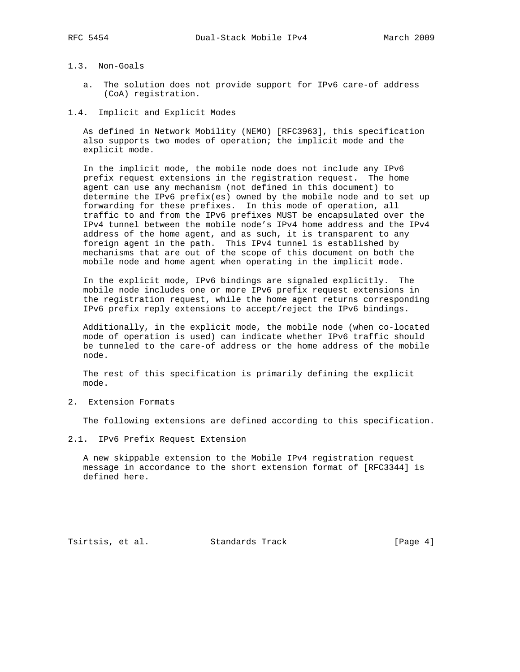# 1.3. Non-Goals

- a. The solution does not provide support for IPv6 care-of address (CoA) registration.
- 1.4. Implicit and Explicit Modes

 As defined in Network Mobility (NEMO) [RFC3963], this specification also supports two modes of operation; the implicit mode and the explicit mode.

 In the implicit mode, the mobile node does not include any IPv6 prefix request extensions in the registration request. The home agent can use any mechanism (not defined in this document) to determine the IPv6 prefix(es) owned by the mobile node and to set up forwarding for these prefixes. In this mode of operation, all traffic to and from the IPv6 prefixes MUST be encapsulated over the IPv4 tunnel between the mobile node's IPv4 home address and the IPv4 address of the home agent, and as such, it is transparent to any foreign agent in the path. This IPv4 tunnel is established by mechanisms that are out of the scope of this document on both the mobile node and home agent when operating in the implicit mode.

 In the explicit mode, IPv6 bindings are signaled explicitly. The mobile node includes one or more IPv6 prefix request extensions in the registration request, while the home agent returns corresponding IPv6 prefix reply extensions to accept/reject the IPv6 bindings.

 Additionally, in the explicit mode, the mobile node (when co-located mode of operation is used) can indicate whether IPv6 traffic should be tunneled to the care-of address or the home address of the mobile node.

 The rest of this specification is primarily defining the explicit mode.

2. Extension Formats

The following extensions are defined according to this specification.

2.1. IPv6 Prefix Request Extension

 A new skippable extension to the Mobile IPv4 registration request message in accordance to the short extension format of [RFC3344] is defined here.

Tsirtsis, et al. Standards Track [Page 4]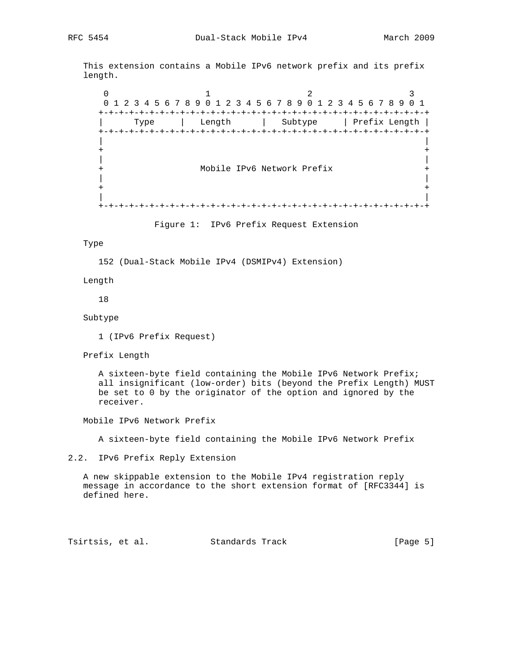This extension contains a Mobile IPv6 network prefix and its prefix length.

 $0$  1 2 3 0 1 2 3 4 5 6 7 8 9 0 1 2 3 4 5 6 7 8 9 0 1 2 3 4 5 6 7 8 9 0 1 +-+-+-+-+-+-+-+-+-+-+-+-+-+-+-+-+-+-+-+-+-+-+-+-+-+-+-+-+-+-+-+-+ | Type | Length | Subtype | Prefix Length | +-+-+-+-+-+-+-+-+-+-+-+-+-+-+-+-+-+-+-+-+-+-+-+-+-+-+-+-+-+-+-+-+ | | + + | | + Mobile IPv6 Network Prefix +<br>|<br>| | | + + | | +-+-+-+-+-+-+-+-+-+-+-+-+-+-+-+-+-+-+-+-+-+-+-+-+-+-+-+-+-+-+-+-+

Figure 1: IPv6 Prefix Request Extension

#### Type

152 (Dual-Stack Mobile IPv4 (DSMIPv4) Extension)

Length

18

Subtype

1 (IPv6 Prefix Request)

Prefix Length

 A sixteen-byte field containing the Mobile IPv6 Network Prefix; all insignificant (low-order) bits (beyond the Prefix Length) MUST be set to 0 by the originator of the option and ignored by the receiver.

Mobile IPv6 Network Prefix

A sixteen-byte field containing the Mobile IPv6 Network Prefix

#### 2.2. IPv6 Prefix Reply Extension

 A new skippable extension to the Mobile IPv4 registration reply message in accordance to the short extension format of [RFC3344] is defined here.

Tsirtsis, et al. Standards Track [Page 5]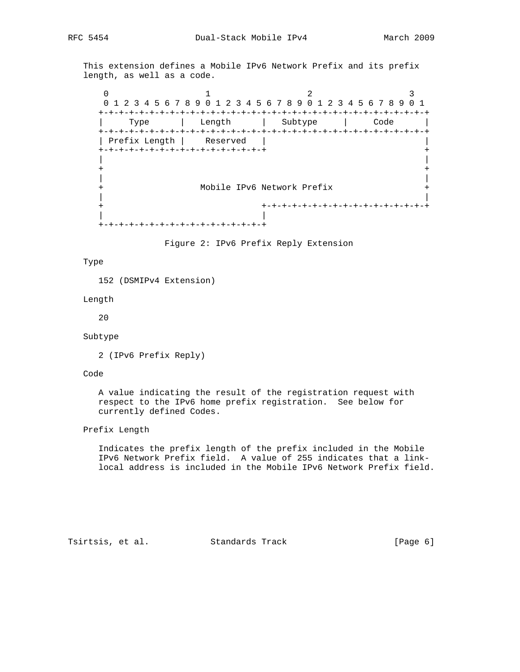This extension defines a Mobile IPv6 Network Prefix and its prefix length, as well as a code.

 $0$  1 2 3 0 1 2 3 4 5 6 7 8 9 0 1 2 3 4 5 6 7 8 9 0 1 2 3 4 5 6 7 8 9 0 1 +-+-+-+-+-+-+-+-+-+-+-+-+-+-+-+-+-+-+-+-+-+-+-+-+-+-+-+-+-+-+-+-+ | Type | Length | Subtype | Code | +-+-+-+-+-+-+-+-+-+-+-+-+-+-+-+-+-+-+-+-+-+-+-+-+-+-+-+-+-+-+-+-+ | Prefix Length | Reserved | | +-+-+-+-+-+-+-+-+-+-+-+-+-+-+-+-+ + | | + + | | + Mobile IPv6 Network Prefix + | | + +-+-+-+-+-+-+-+-+-+-+-+-+-+-+-+-+ | | +-+-+-+-+-+-+-+-+-+-+-+-+-+-+-+-+

Figure 2: IPv6 Prefix Reply Extension

#### Type

152 (DSMIPv4 Extension)

Length

20

#### Subtype

```
 2 (IPv6 Prefix Reply)
```
Code

 A value indicating the result of the registration request with respect to the IPv6 home prefix registration. See below for currently defined Codes.

### Prefix Length

 Indicates the prefix length of the prefix included in the Mobile IPv6 Network Prefix field. A value of 255 indicates that a link local address is included in the Mobile IPv6 Network Prefix field.

Tsirtsis, et al. Standards Track [Page 6]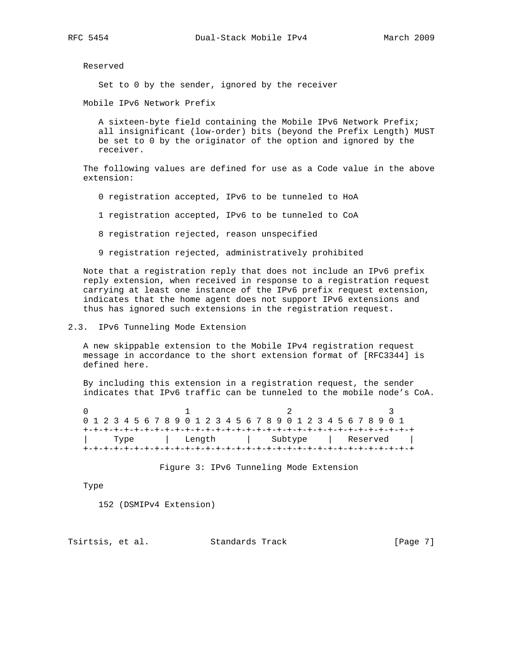Reserved

Set to 0 by the sender, ignored by the receiver

Mobile IPv6 Network Prefix

 A sixteen-byte field containing the Mobile IPv6 Network Prefix; all insignificant (low-order) bits (beyond the Prefix Length) MUST be set to 0 by the originator of the option and ignored by the receiver.

 The following values are defined for use as a Code value in the above extension:

- 0 registration accepted, IPv6 to be tunneled to HoA
- 1 registration accepted, IPv6 to be tunneled to CoA
- 8 registration rejected, reason unspecified
- 9 registration rejected, administratively prohibited

 Note that a registration reply that does not include an IPv6 prefix reply extension, when received in response to a registration request carrying at least one instance of the IPv6 prefix request extension, indicates that the home agent does not support IPv6 extensions and thus has ignored such extensions in the registration request.

#### 2.3. IPv6 Tunneling Mode Extension

 A new skippable extension to the Mobile IPv4 registration request message in accordance to the short extension format of [RFC3344] is defined here.

 By including this extension in a registration request, the sender indicates that IPv6 traffic can be tunneled to the mobile node's CoA.

| 0 1 2 3 4 5 6 7 8 9 0 1 2 3 4 5 6 7 8 9 0 1 2 3 4 5 6 7 8 9 0 1 |  |      |  |        |  |  |  |  |  |  |  |  |         |  |  |  |  |  |  |  |          |  |  |  |  |  |  |  |
|-----------------------------------------------------------------|--|------|--|--------|--|--|--|--|--|--|--|--|---------|--|--|--|--|--|--|--|----------|--|--|--|--|--|--|--|
|                                                                 |  |      |  |        |  |  |  |  |  |  |  |  |         |  |  |  |  |  |  |  |          |  |  |  |  |  |  |  |
|                                                                 |  | Type |  | Length |  |  |  |  |  |  |  |  | Subtype |  |  |  |  |  |  |  | Reserved |  |  |  |  |  |  |  |
|                                                                 |  |      |  |        |  |  |  |  |  |  |  |  |         |  |  |  |  |  |  |  |          |  |  |  |  |  |  |  |

Figure 3: IPv6 Tunneling Mode Extension

Type

152 (DSMIPv4 Extension)

Tsirtsis, et al. Standards Track [Page 7]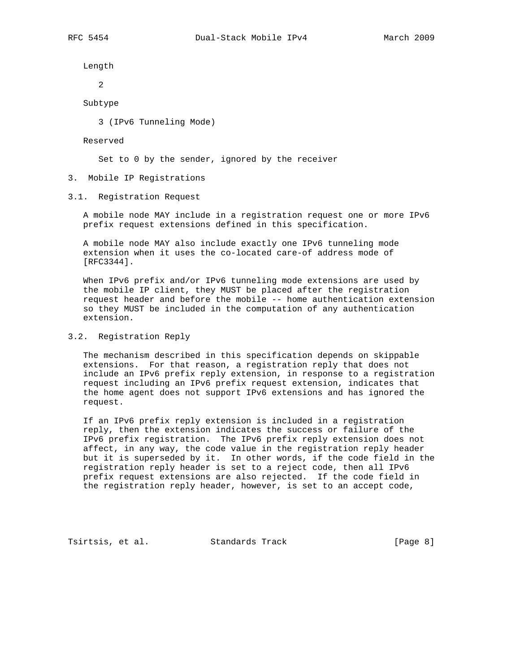Length

2

Subtype

3 (IPv6 Tunneling Mode)

Reserved

Set to 0 by the sender, ignored by the receiver

3. Mobile IP Registrations

3.1. Registration Request

 A mobile node MAY include in a registration request one or more IPv6 prefix request extensions defined in this specification.

 A mobile node MAY also include exactly one IPv6 tunneling mode extension when it uses the co-located care-of address mode of [RFC3344].

 When IPv6 prefix and/or IPv6 tunneling mode extensions are used by the mobile IP client, they MUST be placed after the registration request header and before the mobile -- home authentication extension so they MUST be included in the computation of any authentication extension.

3.2. Registration Reply

 The mechanism described in this specification depends on skippable extensions. For that reason, a registration reply that does not include an IPv6 prefix reply extension, in response to a registration request including an IPv6 prefix request extension, indicates that the home agent does not support IPv6 extensions and has ignored the request.

 If an IPv6 prefix reply extension is included in a registration reply, then the extension indicates the success or failure of the IPv6 prefix registration. The IPv6 prefix reply extension does not affect, in any way, the code value in the registration reply header but it is superseded by it. In other words, if the code field in the registration reply header is set to a reject code, then all IPv6 prefix request extensions are also rejected. If the code field in the registration reply header, however, is set to an accept code,

Tsirtsis, et al. Standards Track [Page 8]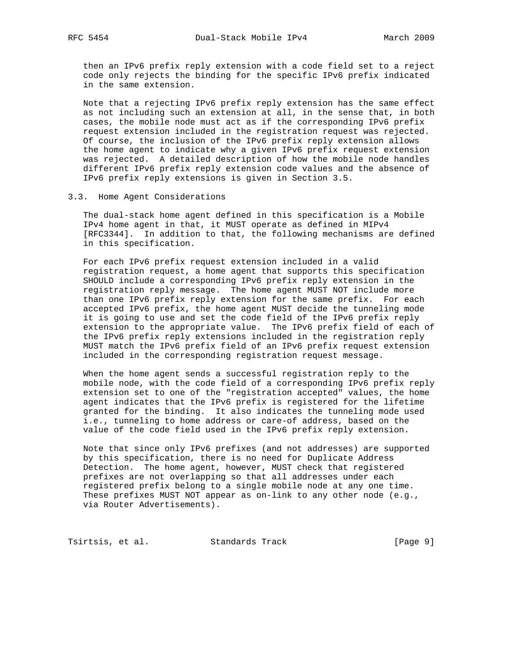then an IPv6 prefix reply extension with a code field set to a reject code only rejects the binding for the specific IPv6 prefix indicated in the same extension.

 Note that a rejecting IPv6 prefix reply extension has the same effect as not including such an extension at all, in the sense that, in both cases, the mobile node must act as if the corresponding IPv6 prefix request extension included in the registration request was rejected. Of course, the inclusion of the IPv6 prefix reply extension allows the home agent to indicate why a given IPv6 prefix request extension was rejected. A detailed description of how the mobile node handles different IPv6 prefix reply extension code values and the absence of IPv6 prefix reply extensions is given in Section 3.5.

#### 3.3. Home Agent Considerations

 The dual-stack home agent defined in this specification is a Mobile IPv4 home agent in that, it MUST operate as defined in MIPv4 [RFC3344]. In addition to that, the following mechanisms are defined in this specification.

 For each IPv6 prefix request extension included in a valid registration request, a home agent that supports this specification SHOULD include a corresponding IPv6 prefix reply extension in the registration reply message. The home agent MUST NOT include more than one IPv6 prefix reply extension for the same prefix. For each accepted IPv6 prefix, the home agent MUST decide the tunneling mode it is going to use and set the code field of the IPv6 prefix reply extension to the appropriate value. The IPv6 prefix field of each of the IPv6 prefix reply extensions included in the registration reply MUST match the IPv6 prefix field of an IPv6 prefix request extension included in the corresponding registration request message.

 When the home agent sends a successful registration reply to the mobile node, with the code field of a corresponding IPv6 prefix reply extension set to one of the "registration accepted" values, the home agent indicates that the IPv6 prefix is registered for the lifetime granted for the binding. It also indicates the tunneling mode used i.e., tunneling to home address or care-of address, based on the value of the code field used in the IPv6 prefix reply extension.

 Note that since only IPv6 prefixes (and not addresses) are supported by this specification, there is no need for Duplicate Address Detection. The home agent, however, MUST check that registered prefixes are not overlapping so that all addresses under each registered prefix belong to a single mobile node at any one time. These prefixes MUST NOT appear as on-link to any other node (e.g., via Router Advertisements).

Tsirtsis, et al. Standards Track [Page 9]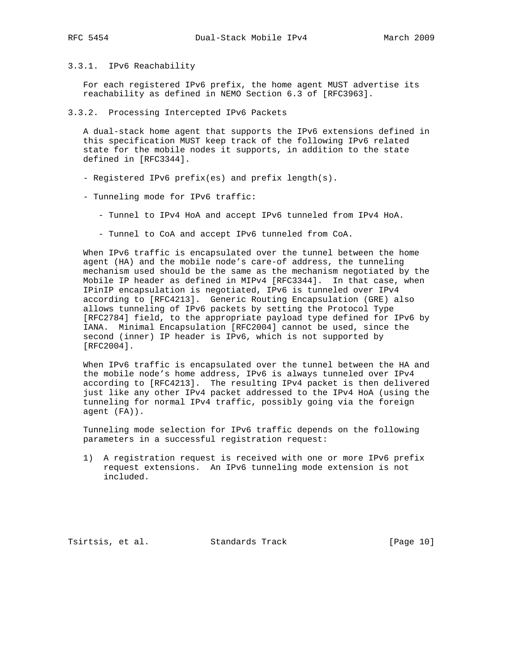## 3.3.1. IPv6 Reachability

 For each registered IPv6 prefix, the home agent MUST advertise its reachability as defined in NEMO Section 6.3 of [RFC3963].

3.3.2. Processing Intercepted IPv6 Packets

 A dual-stack home agent that supports the IPv6 extensions defined in this specification MUST keep track of the following IPv6 related state for the mobile nodes it supports, in addition to the state defined in [RFC3344].

- Registered IPv6 prefix(es) and prefix length(s).
- Tunneling mode for IPv6 traffic:
	- Tunnel to IPv4 HoA and accept IPv6 tunneled from IPv4 HoA.
	- Tunnel to CoA and accept IPv6 tunneled from CoA.

 When IPv6 traffic is encapsulated over the tunnel between the home agent (HA) and the mobile node's care-of address, the tunneling mechanism used should be the same as the mechanism negotiated by the Mobile IP header as defined in MIPv4 [RFC3344]. In that case, when IPinIP encapsulation is negotiated, IPv6 is tunneled over IPv4 according to [RFC4213]. Generic Routing Encapsulation (GRE) also allows tunneling of IPv6 packets by setting the Protocol Type [RFC2784] field, to the appropriate payload type defined for IPv6 by IANA. Minimal Encapsulation [RFC2004] cannot be used, since the second (inner) IP header is IPv6, which is not supported by [RFC2004].

 When IPv6 traffic is encapsulated over the tunnel between the HA and the mobile node's home address, IPv6 is always tunneled over IPv4 according to [RFC4213]. The resulting IPv4 packet is then delivered just like any other IPv4 packet addressed to the IPv4 HoA (using the tunneling for normal IPv4 traffic, possibly going via the foreign agent (FA)).

 Tunneling mode selection for IPv6 traffic depends on the following parameters in a successful registration request:

 1) A registration request is received with one or more IPv6 prefix request extensions. An IPv6 tunneling mode extension is not included.

Tsirtsis, et al. Standards Track [Page 10]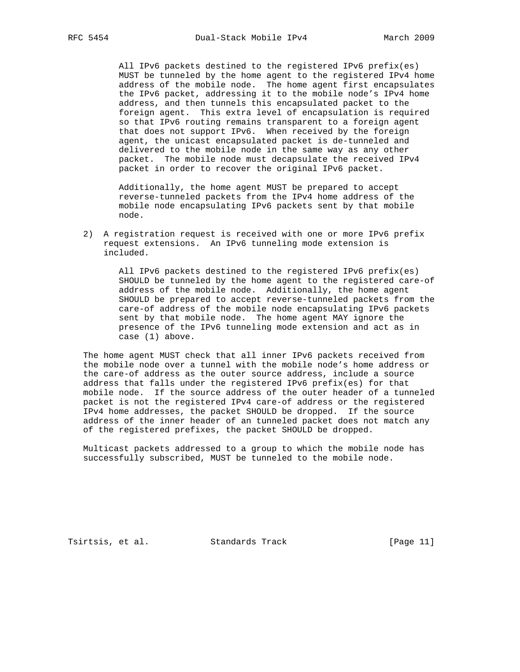All IPv6 packets destined to the registered IPv6 prefix(es) MUST be tunneled by the home agent to the registered IPv4 home address of the mobile node. The home agent first encapsulates the IPv6 packet, addressing it to the mobile node's IPv4 home address, and then tunnels this encapsulated packet to the foreign agent. This extra level of encapsulation is required so that IPv6 routing remains transparent to a foreign agent that does not support IPv6. When received by the foreign agent, the unicast encapsulated packet is de-tunneled and delivered to the mobile node in the same way as any other packet. The mobile node must decapsulate the received IPv4 packet in order to recover the original IPv6 packet.

 Additionally, the home agent MUST be prepared to accept reverse-tunneled packets from the IPv4 home address of the mobile node encapsulating IPv6 packets sent by that mobile node.

 2) A registration request is received with one or more IPv6 prefix request extensions. An IPv6 tunneling mode extension is included.

 All IPv6 packets destined to the registered IPv6 prefix(es) SHOULD be tunneled by the home agent to the registered care-of address of the mobile node. Additionally, the home agent SHOULD be prepared to accept reverse-tunneled packets from the care-of address of the mobile node encapsulating IPv6 packets sent by that mobile node. The home agent MAY ignore the presence of the IPv6 tunneling mode extension and act as in case (1) above.

 The home agent MUST check that all inner IPv6 packets received from the mobile node over a tunnel with the mobile node's home address or the care-of address as the outer source address, include a source address that falls under the registered IPv6 prefix(es) for that mobile node. If the source address of the outer header of a tunneled packet is not the registered IPv4 care-of address or the registered IPv4 home addresses, the packet SHOULD be dropped. If the source address of the inner header of an tunneled packet does not match any of the registered prefixes, the packet SHOULD be dropped.

 Multicast packets addressed to a group to which the mobile node has successfully subscribed, MUST be tunneled to the mobile node.

Tsirtsis, et al. Standards Track [Page 11]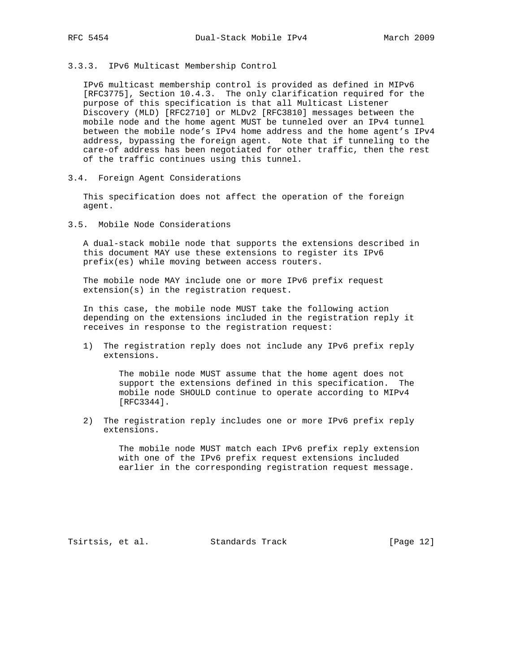3.3.3. IPv6 Multicast Membership Control

 IPv6 multicast membership control is provided as defined in MIPv6 [RFC3775], Section 10.4.3. The only clarification required for the purpose of this specification is that all Multicast Listener Discovery (MLD) [RFC2710] or MLDv2 [RFC3810] messages between the mobile node and the home agent MUST be tunneled over an IPv4 tunnel between the mobile node's IPv4 home address and the home agent's IPv4 address, bypassing the foreign agent. Note that if tunneling to the care-of address has been negotiated for other traffic, then the rest of the traffic continues using this tunnel.

3.4. Foreign Agent Considerations

 This specification does not affect the operation of the foreign agent.

3.5. Mobile Node Considerations

 A dual-stack mobile node that supports the extensions described in this document MAY use these extensions to register its IPv6 prefix(es) while moving between access routers.

 The mobile node MAY include one or more IPv6 prefix request extension(s) in the registration request.

 In this case, the mobile node MUST take the following action depending on the extensions included in the registration reply it receives in response to the registration request:

 1) The registration reply does not include any IPv6 prefix reply extensions.

> The mobile node MUST assume that the home agent does not support the extensions defined in this specification. The mobile node SHOULD continue to operate according to MIPv4 [RFC3344].

 2) The registration reply includes one or more IPv6 prefix reply extensions.

> The mobile node MUST match each IPv6 prefix reply extension with one of the IPv6 prefix request extensions included earlier in the corresponding registration request message.

Tsirtsis, et al. Standards Track [Page 12]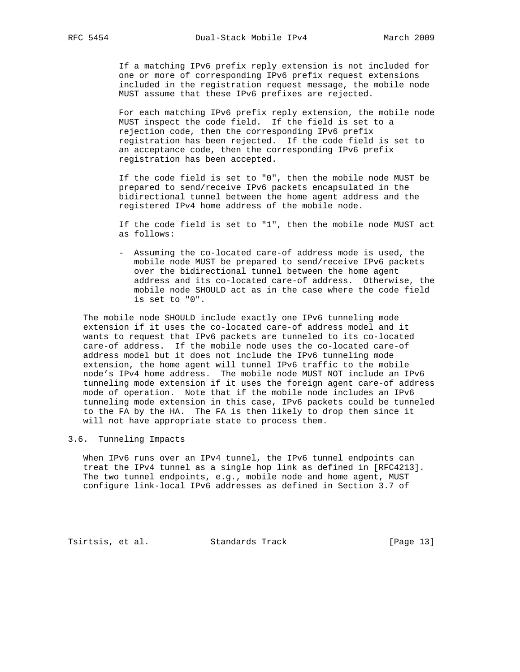If a matching IPv6 prefix reply extension is not included for one or more of corresponding IPv6 prefix request extensions included in the registration request message, the mobile node MUST assume that these IPv6 prefixes are rejected.

 For each matching IPv6 prefix reply extension, the mobile node MUST inspect the code field. If the field is set to a rejection code, then the corresponding IPv6 prefix registration has been rejected. If the code field is set to an acceptance code, then the corresponding IPv6 prefix registration has been accepted.

 If the code field is set to "0", then the mobile node MUST be prepared to send/receive IPv6 packets encapsulated in the bidirectional tunnel between the home agent address and the registered IPv4 home address of the mobile node.

 If the code field is set to "1", then the mobile node MUST act as follows:

 - Assuming the co-located care-of address mode is used, the mobile node MUST be prepared to send/receive IPv6 packets over the bidirectional tunnel between the home agent address and its co-located care-of address. Otherwise, the mobile node SHOULD act as in the case where the code field is set to "0".

 The mobile node SHOULD include exactly one IPv6 tunneling mode extension if it uses the co-located care-of address model and it wants to request that IPv6 packets are tunneled to its co-located care-of address. If the mobile node uses the co-located care-of address model but it does not include the IPv6 tunneling mode extension, the home agent will tunnel IPv6 traffic to the mobile node's IPv4 home address. The mobile node MUST NOT include an IPv6 tunneling mode extension if it uses the foreign agent care-of address mode of operation. Note that if the mobile node includes an IPv6 tunneling mode extension in this case, IPv6 packets could be tunneled to the FA by the HA. The FA is then likely to drop them since it will not have appropriate state to process them.

### 3.6. Tunneling Impacts

 When IPv6 runs over an IPv4 tunnel, the IPv6 tunnel endpoints can treat the IPv4 tunnel as a single hop link as defined in [RFC4213]. The two tunnel endpoints, e.g., mobile node and home agent, MUST configure link-local IPv6 addresses as defined in Section 3.7 of

Tsirtsis, et al. Standards Track [Page 13]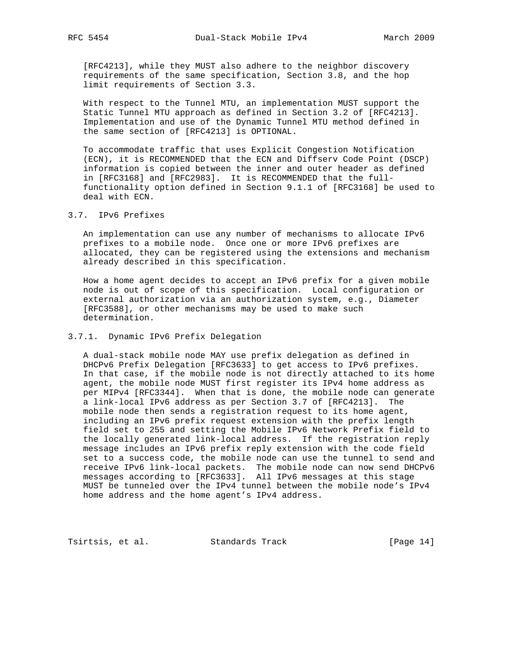[RFC4213], while they MUST also adhere to the neighbor discovery requirements of the same specification, Section 3.8, and the hop limit requirements of Section 3.3.

 With respect to the Tunnel MTU, an implementation MUST support the Static Tunnel MTU approach as defined in Section 3.2 of [RFC4213]. Implementation and use of the Dynamic Tunnel MTU method defined in the same section of [RFC4213] is OPTIONAL.

 To accommodate traffic that uses Explicit Congestion Notification (ECN), it is RECOMMENDED that the ECN and Diffserv Code Point (DSCP) information is copied between the inner and outer header as defined in [RFC3168] and [RFC2983]. It is RECOMMENDED that the full functionality option defined in Section 9.1.1 of [RFC3168] be used to deal with ECN.

3.7. IPv6 Prefixes

 An implementation can use any number of mechanisms to allocate IPv6 prefixes to a mobile node. Once one or more IPv6 prefixes are allocated, they can be registered using the extensions and mechanism already described in this specification.

 How a home agent decides to accept an IPv6 prefix for a given mobile node is out of scope of this specification. Local configuration or external authorization via an authorization system, e.g., Diameter [RFC3588], or other mechanisms may be used to make such determination.

# 3.7.1. Dynamic IPv6 Prefix Delegation

 A dual-stack mobile node MAY use prefix delegation as defined in DHCPv6 Prefix Delegation [RFC3633] to get access to IPv6 prefixes. In that case, if the mobile node is not directly attached to its home agent, the mobile node MUST first register its IPv4 home address as per MIPv4 [RFC3344]. When that is done, the mobile node can generate a link-local IPv6 address as per Section 3.7 of [RFC4213]. The mobile node then sends a registration request to its home agent, including an IPv6 prefix request extension with the prefix length field set to 255 and setting the Mobile IPv6 Network Prefix field to the locally generated link-local address. If the registration reply message includes an IPv6 prefix reply extension with the code field set to a success code, the mobile node can use the tunnel to send and receive IPv6 link-local packets. The mobile node can now send DHCPv6 messages according to [RFC3633]. All IPv6 messages at this stage MUST be tunneled over the IPv4 tunnel between the mobile node's IPv4 home address and the home agent's IPv4 address.

Tsirtsis, et al. Standards Track [Page 14]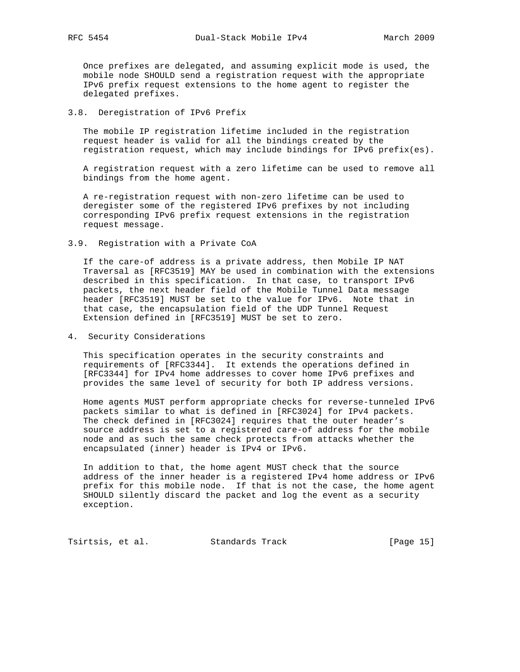Once prefixes are delegated, and assuming explicit mode is used, the mobile node SHOULD send a registration request with the appropriate IPv6 prefix request extensions to the home agent to register the delegated prefixes.

#### 3.8. Deregistration of IPv6 Prefix

 The mobile IP registration lifetime included in the registration request header is valid for all the bindings created by the registration request, which may include bindings for IPv6 prefix(es).

 A registration request with a zero lifetime can be used to remove all bindings from the home agent.

 A re-registration request with non-zero lifetime can be used to deregister some of the registered IPv6 prefixes by not including corresponding IPv6 prefix request extensions in the registration request message.

3.9. Registration with a Private CoA

 If the care-of address is a private address, then Mobile IP NAT Traversal as [RFC3519] MAY be used in combination with the extensions described in this specification. In that case, to transport IPv6 packets, the next header field of the Mobile Tunnel Data message header [RFC3519] MUST be set to the value for IPv6. Note that in that case, the encapsulation field of the UDP Tunnel Request Extension defined in [RFC3519] MUST be set to zero.

4. Security Considerations

 This specification operates in the security constraints and requirements of [RFC3344]. It extends the operations defined in [RFC3344] for IPv4 home addresses to cover home IPv6 prefixes and provides the same level of security for both IP address versions.

 Home agents MUST perform appropriate checks for reverse-tunneled IPv6 packets similar to what is defined in [RFC3024] for IPv4 packets. The check defined in [RFC3024] requires that the outer header's source address is set to a registered care-of address for the mobile node and as such the same check protects from attacks whether the encapsulated (inner) header is IPv4 or IPv6.

 In addition to that, the home agent MUST check that the source address of the inner header is a registered IPv4 home address or IPv6 prefix for this mobile node. If that is not the case, the home agent SHOULD silently discard the packet and log the event as a security exception.

Tsirtsis, et al. Standards Track [Page 15]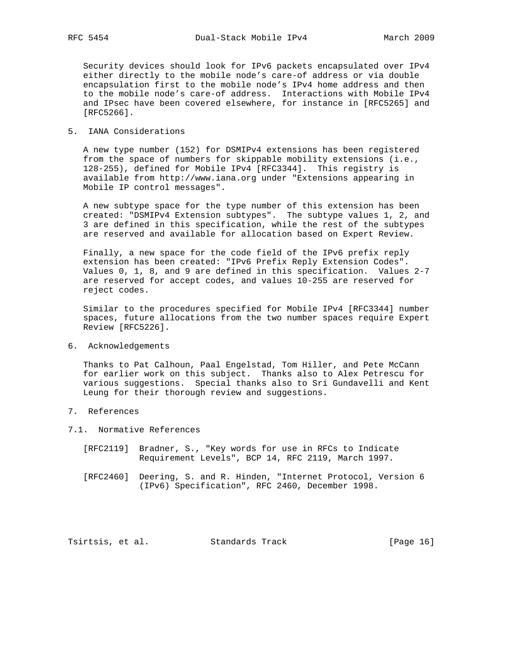Security devices should look for IPv6 packets encapsulated over IPv4 either directly to the mobile node's care-of address or via double encapsulation first to the mobile node's IPv4 home address and then to the mobile node's care-of address. Interactions with Mobile IPv4 and IPsec have been covered elsewhere, for instance in [RFC5265] and [RFC5266].

### 5. IANA Considerations

 A new type number (152) for DSMIPv4 extensions has been registered from the space of numbers for skippable mobility extensions (i.e., 128-255), defined for Mobile IPv4 [RFC3344]. This registry is available from http://www.iana.org under "Extensions appearing in Mobile IP control messages".

 A new subtype space for the type number of this extension has been created: "DSMIPv4 Extension subtypes". The subtype values 1, 2, and 3 are defined in this specification, while the rest of the subtypes are reserved and available for allocation based on Expert Review.

 Finally, a new space for the code field of the IPv6 prefix reply extension has been created: "IPv6 Prefix Reply Extension Codes". Values 0, 1, 8, and 9 are defined in this specification. Values 2-7 are reserved for accept codes, and values 10-255 are reserved for reject codes.

 Similar to the procedures specified for Mobile IPv4 [RFC3344] number spaces, future allocations from the two number spaces require Expert Review [RFC5226].

6. Acknowledgements

 Thanks to Pat Calhoun, Paal Engelstad, Tom Hiller, and Pete McCann for earlier work on this subject. Thanks also to Alex Petrescu for various suggestions. Special thanks also to Sri Gundavelli and Kent Leung for their thorough review and suggestions.

- 7. References
- 7.1. Normative References
	- [RFC2119] Bradner, S., "Key words for use in RFCs to Indicate Requirement Levels", BCP 14, RFC 2119, March 1997.
	- [RFC2460] Deering, S. and R. Hinden, "Internet Protocol, Version 6 (IPv6) Specification", RFC 2460, December 1998.

Tsirtsis, et al. Standards Track [Page 16]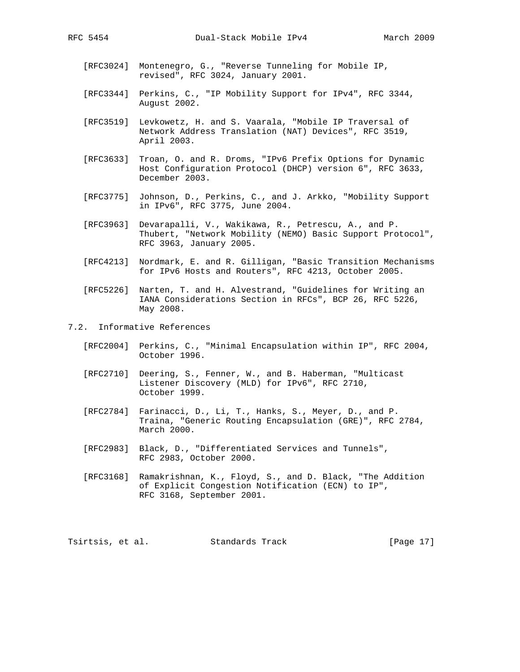- [RFC3024] Montenegro, G., "Reverse Tunneling for Mobile IP, revised", RFC 3024, January 2001.
- [RFC3344] Perkins, C., "IP Mobility Support for IPv4", RFC 3344, August 2002.
- [RFC3519] Levkowetz, H. and S. Vaarala, "Mobile IP Traversal of Network Address Translation (NAT) Devices", RFC 3519, April 2003.
- [RFC3633] Troan, O. and R. Droms, "IPv6 Prefix Options for Dynamic Host Configuration Protocol (DHCP) version 6", RFC 3633, December 2003.
- [RFC3775] Johnson, D., Perkins, C., and J. Arkko, "Mobility Support in IPv6", RFC 3775, June 2004.
- [RFC3963] Devarapalli, V., Wakikawa, R., Petrescu, A., and P. Thubert, "Network Mobility (NEMO) Basic Support Protocol", RFC 3963, January 2005.
- [RFC4213] Nordmark, E. and R. Gilligan, "Basic Transition Mechanisms for IPv6 Hosts and Routers", RFC 4213, October 2005.
- [RFC5226] Narten, T. and H. Alvestrand, "Guidelines for Writing an IANA Considerations Section in RFCs", BCP 26, RFC 5226, May 2008.
- 7.2. Informative References
	- [RFC2004] Perkins, C., "Minimal Encapsulation within IP", RFC 2004, October 1996.
	- [RFC2710] Deering, S., Fenner, W., and B. Haberman, "Multicast Listener Discovery (MLD) for IPv6", RFC 2710, October 1999.
	- [RFC2784] Farinacci, D., Li, T., Hanks, S., Meyer, D., and P. Traina, "Generic Routing Encapsulation (GRE)", RFC 2784, March 2000.
	- [RFC2983] Black, D., "Differentiated Services and Tunnels", RFC 2983, October 2000.
	- [RFC3168] Ramakrishnan, K., Floyd, S., and D. Black, "The Addition of Explicit Congestion Notification (ECN) to IP", RFC 3168, September 2001.

Tsirtsis, et al. Standards Track [Page 17]